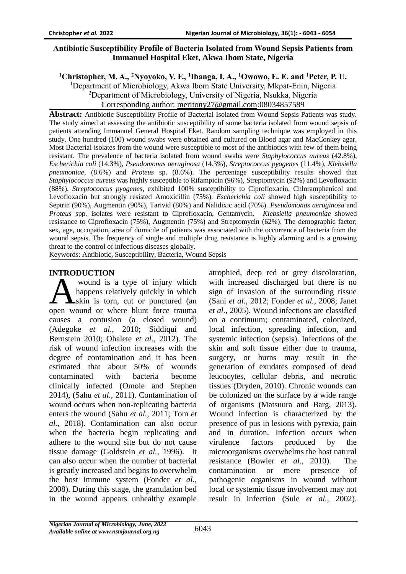# **Antibiotic Susceptibility Profile of Bacteria Isolated from Wound Sepsis Patients from Immanuel Hospital Eket, Akwa Ibom State, Nigeria**

**<sup>1</sup>Christopher, M. A., <sup>2</sup>Nyoyoko, V. F., <sup>1</sup> Ibanga, I. A., <sup>1</sup>Owowo, E. E. and <sup>1</sup>Peter, P. U.**

<sup>1</sup>Department of Microbiology, Akwa Ibom State University, Mkpat-Enin, Nigeria <sup>2</sup>Department of Microbiology, University of Nigeria, Nsukka, Nigeria Corresponding author: [meritony27@gmail.com:](mailto:meritony27@gmail.com)08034857589

**Abstract:** Antibiotic Susceptibility Profile of Bacterial Isolated from Wound Sepsis Patients was study. The study aimed at assessing the antibiotic susceptibility of some bacteria isolated from wound sepsis of patients attending Immanuel General Hospital Eket. Random sampling technique was employed in this study. One hundred (100) wound swabs were obtained and cultured on Blood agar and MacConkey agar. Most Bacterial isolates from the wound were susceptible to most of the antibiotics with few of them being resistant. The prevalence of bacteria isolated from wound swabs were *Staphylococcus aureus* (42.8%), *Escherichia coli* (14.3%), *Pseudomonas aeruginosa* (14.3%), *Streptococcus pyogenes* (11.4%), *Klebsiella pneumoniae*, (8.6%) and *Proteus* sp. (8.6%). The percentage susceptibility results showed that *Staphylococcus aureus* was highly susceptible to Rifampicin (96%), Streptomycin (92%) and Levofloxacin (88%). *Streptococcus pyogenes*, exhibited 100% susceptibility to Ciprofloxacin, Chloramphenicol and Levofloxacin but strongly resisted Amoxicillin (75%). *Escherichia coli* showed high susceptibility to Septrin (90%), Augmentin (90%), Tarivid (80%) and Nalidixic acid (70%). *Pseudomonas aeruginosa* and *Proteus* spp. isolates were resistant to Ciprofloxacin, Gentamycin. *Klebsiella pneumoniae* showed resistance to Ciprofloxacin (75%), Augmentin (75%) and Streptomycin (62%). The demographic factor; sex, age, occupation, area of domicile of patients was associated with the occurrence of bacteria from the wound sepsis. The frequency of single and multiple drug resistance is highly alarming and is a growing threat to the control of infectious diseases globally.

Keywords: Antibiotic, Susceptibility, Bacteria, Wound Sepsis

# **INTRODUCTION**

wound is a type of injury which happens relatively quickly in which **A**skin is torn, cut or punctured (an wound is a type of injury which<br>happens relatively quickly in which<br>skin is torn, cut or punctured (an<br>open wound or where blunt force trauma causes a contusion (a closed wound) (Adegoke *et al.,* 2010; Siddiqui and Bernstein 2010; Ohalete *et al.,* 2012). The risk of wound infection increases with the degree of contamination and it has been estimated that about 50% of wounds contaminated with bacteria become clinically infected (Omole and Stephen 2014), (Sahu *et al.,* 2011). Contamination of wound occurs when non-replicating bacteria enters the wound (Sahu *et al.,* 2011; Tom *et al.,* 2018). Contamination can also occur when the bacteria begin replicating and adhere to the wound site but do not cause tissue damage (Goldstein *et al.,* 1996). It can also occur when the number of bacterial is greatly increased and begins to overwhelm the host immune system (Fonder *et al.,*  2008). During this stage, the granulation bed in the wound appears unhealthy example

atrophied, deep red or grey discoloration, with increased discharged but there is no sign of invasion of the surrounding tissue (Sani *et al.,* 2012; Fonder *et al.,* 2008; Janet *et al.,* 2005). Wound infections are classified on a continuum; contaminated, colonized, local infection, spreading infection, and systemic infection (sepsis). Infections of the skin and soft tissue either due to trauma, surgery, or burns may result in the generation of exudates composed of dead leucocytes, cellular debris, and necrotic tissues (Dryden, 2010). Chronic wounds can be colonized on the surface by a wide range of organisms (Matsuura and Barg, 2013). Wound infection is characterized by the presence of pus in lesions with pyrexia, pain and in duration. Infection occurs when virulence factors produced by the microorganisms overwhelms the host natural resistance (Bowler *et al.,* 2010). The contamination or mere presence of pathogenic organisms in wound without local or systemic tissue involvement may not result in infection (Sule *et al.,* 2002).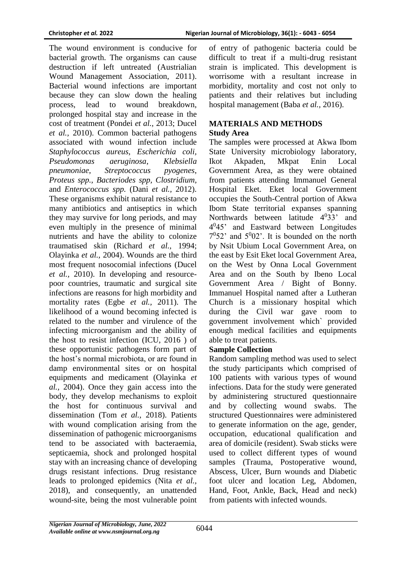The wound environment is conducive for bacterial growth. The organisms can cause destruction if left untreated (Austrialian Wound Management Association, 2011). Bacterial wound infections are important because they can slow down the healing process, lead to wound breakdown, prolonged hospital stay and increase in the cost of treatment (Pondei *et al.,* 2013; Ducel *et al.,* 2010). Common bacterial pathogens associated with wound infection include *Staphylococcus aureus*, *Escherichia coli, Pseudomonas aeruginosa*, *Klebsiella pneumoniae*, *Streptococcus pyogenes*, *Proteus spp., Bacteriodes spp, Clostridium,*  and *Enterococcus spp.* (Dani *et al.,* 2012). These organisms exhibit natural resistance to many antibiotics and antiseptics in which they may survive for long periods, and may even multiply in the presence of minimal nutrients and have the ability to colonize traumatised skin (Richard *et al.,* 1994; Olayinka *et al.,* 2004). Wounds are the third most frequent nosocomial infections (Ducel *et al.,* 2010). In developing and resourcepoor countries, traumatic and surgical site infections are reasons for high morbidity and mortality rates (Egbe *et al.,* 2011). The likelihood of a wound becoming infected is related to the number and virulence of the infecting microorganism and the ability of the host to resist infection (ICU, 2016 ) of these opportunistic pathogens form part of the host's normal microbiota, or are found in damp environmental sites or on hospital equipments and medicament (Olayinka *et al.,* 2004). Once they gain access into the body, they develop mechanisms to exploit the host for continuous survival and dissemination (Tom *et al.,* 2018). Patients with wound complication arising from the dissemination of pathogenic microorganisms tend to be associated with bacteraemia, septicaemia, shock and prolonged hospital stay with an increasing chance of developing drugs resistant infections. Drug resistance leads to prolonged epidemics (Nita *et al.,*  2018), and consequently, an unattended wound-site, being the most vulnerable point

of entry of pathogenic bacteria could be difficult to treat if a multi-drug resistant strain is implicated. This development is worrisome with a resultant increase in morbidity, mortality and cost not only to patients and their relatives but including hospital management (Baba *et al.,* 2016).

# **MATERIALS AND METHODS Study Area**

The samples were processed at Akwa Ibom State University microbiology laboratory, Ikot Akpaden, Mkpat Enin Local Government Area, as they were obtained from patients attending Immanuel General Hospital Eket. Eket local Government occupies the South-Central portion of Akwa Ibom State territorial expanses spanning Northwards between latitude  $4^033$ ' and 4 0 45' and Eastward between Longitudes  $7<sup>0</sup>52$ ' and  $5<sup>0</sup>02$ '. It is bounded on the north by Nsit Ubium Local Government Area, on the east by Esit Eket local Government Area, on the West by Onna Local Government Area and on the South by Ibeno Local Government Area / Bight of Bonny. Immanuel Hospital named after a Lutheran Church is a missionary hospital which during the Civil war gave room to government involvement which` provided enough medical facilities and equipments able to treat patients.

# **Sample Collection**

Random sampling method was used to select the study participants which comprised of 100 patients with various types of wound infections. Data for the study were generated by administering structured questionnaire and by collecting wound swabs. The structured Questionnaires were administered to generate information on the age, gender, occupation, educational qualification and area of domicile (resident). Swab sticks were used to collect different types of wound samples (Trauma, Postoperative wound, Abscess, Ulcer, Burn wounds and Diabetic foot ulcer and location Leg, Abdomen, Hand, Foot, Ankle, Back, Head and neck) from patients with infected wounds.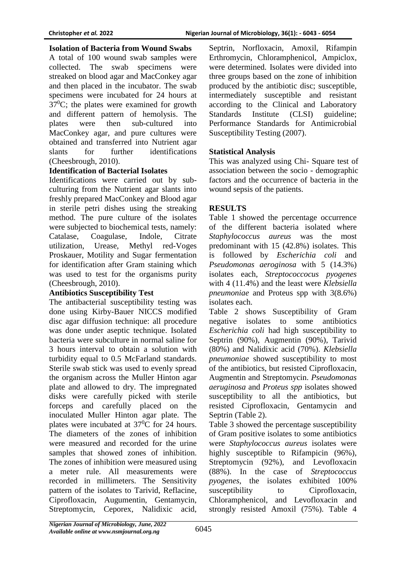#### **Isolation of Bacteria from Wound Swabs**

A total of 100 wound swab samples were collected. The swab specimens were streaked on blood agar and MacConkey agar and then placed in the incubator. The swab specimens were incubated for 24 hours at  $37^{\circ}$ C; the plates were examined for growth and different pattern of hemolysis. The plates were then sub-cultured into MacConkey agar, and pure cultures were obtained and transferred into Nutrient agar slants for further identifications (Cheesbrough, 2010).

### **Identification of Bacterial Isolates**

Identifications were carried out by subculturing from the Nutrient agar slants into freshly prepared MacConkey and Blood agar in sterile petri dishes using the streaking method. The pure culture of the isolates were subjected to biochemical tests, namely: Catalase, Coagulase, Indole, Citrate utilization, Urease, Methyl red-Voges Proskauer, Motility and Sugar fermentation for identification after Gram staining which was used to test for the organisms purity (Cheesbrough, 2010).

# **Antibiotics Susceptibility Test**

The antibacterial susceptibility testing was done using Kirby-Bauer NICCS modified disc agar diffusion technique: all procedure was done under aseptic technique. Isolated bacteria were subculture in normal saline for 3 hours interval to obtain a solution with turbidity equal to 0.5 McFarland standards. Sterile swab stick was used to evenly spread the organism across the Muller Hinton agar plate and allowed to dry. The impregnated disks were carefully picked with sterile forceps and carefully placed on the inoculated Muller Hinton agar plate. The plates were incubated at  $37^{\circ}$ C for 24 hours. The diameters of the zones of inhibition were measured and recorded for the urine samples that showed zones of inhibition. The zones of inhibition were measured using a meter rule. All measurements were recorded in millimeters. The Sensitivity pattern of the isolates to Tarivid, Reflacine, Ciprofloxacin, Augumentin, Gentamycin, Streptomycin, Ceporex, Nalidixic acid,

Septrin, Norfloxacin, Amoxil, Rifampin Erthromycin, Chloramphenicol, Ampiclox, were determined. Isolates were divided into three groups based on the zone of inhibition produced by the antibiotic disc; susceptible, intermediately susceptible and resistant according to the Clinical and Laboratory Standards Institute (CLSI) guideline; Performance Standards for Antimicrobial Susceptibility Testing (2007).

### **Statistical Analysis**

This was analyzed using Chi- Square test of association between the socio - demographic factors and the occurrence of bacteria in the wound sepsis of the patients.

### **RESULTS**

Table 1 showed the percentage occurrence of the different bacteria isolated where *Staphylococcus aureus* was the most predominant with 15 (42.8%) isolates. This is followed by *Escherichia coli* and *Pseudomonas aeroginosa* with 5 (14.3%) isolates each, *Streptococcocus pyogenes* with 4 (11.4%) and the least were *Klebsiella pneumoniae* and Proteus spp with 3(8.6%) isolates each.

Table 2 shows Susceptibility of Gram negative isolates to some antibiotics *Escherichia coli* had high susceptibility to Septrin (90%), Augmentin (90%), Tarivid (80%) and Nalidixic acid (70%). *Klebsiella pneumoniae* showed susceptibility to most of the antibiotics, but resisted Ciprofloxacin, Augmentin and Streptomycin. *Pseudomonas aeruginosa* and *Proteus spp* isolates showed susceptibility to all the antibiotics, but resisted Ciprofloxacin, Gentamycin and Septrin (Table 2).

Table 3 showed the percentage susceptibility of Gram positive isolates to some antibiotics were *Staphylococcus aureus* isolates were highly susceptible to Rifampicin (96%), Streptomycin (92%), and Levofloxacin (88%). In the case of *Streptococcus pyogenes*, the isolates exhibited 100% susceptibility to Ciprofloxacin, Chloramphenicol, and Levofloxacin and strongly resisted Amoxil (75%). Table 4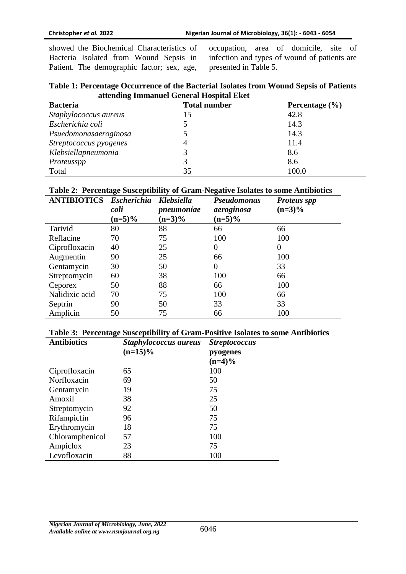showed the Biochemical Characteristics of Bacteria Isolated from Wound Sepsis in Patient. The demographic factor; sex, age, occupation, area of domicile, site of infection and types of wound of patients are presented in Table 5.

| Table 1: Percentage Occurrence of the Bacterial Isolates from Wound Sepsis of Patients |  |
|----------------------------------------------------------------------------------------|--|
| attending Immanuel General Hospital Eket                                               |  |

| <b>Bacteria</b>        | <b>Total number</b> | Percentage $(\% )$ |
|------------------------|---------------------|--------------------|
| Staphylococcus aureus  | 15                  | 42.8               |
| Escherichia coli       |                     | 14.3               |
| Psuedomonasaeroginosa  |                     | 14.3               |
| Streptococcus pyogenes | 4                   | 11.4               |
| Klebsiellapneumonia    |                     | 8.6                |
| Proteusspp             |                     | 8.6                |
| Total                  | 35                  | 100.0              |

#### **Table 2: Percentage Susceptibility of Gram-Negative Isolates to some Antibiotics**

| <b>ANTIBIOTICS</b> | <b>Escherichia</b><br>coli | <b>Klebsiella</b><br>pneumoniae | <b>Pseudomonas</b><br>aeroginosa | <b>Proteus spp</b><br>$(n=3)\%$ |  |
|--------------------|----------------------------|---------------------------------|----------------------------------|---------------------------------|--|
|                    | $(n=5)\%$                  | $(n=3)\%$                       | $(n=5)\%$                        |                                 |  |
| Tarivid            | 80                         | 88                              | 66                               | 66                              |  |
| Reflacine          | 70                         | 75                              | 100                              | 100                             |  |
| Ciprofloxacin      | 40                         | 25                              | $\overline{0}$                   | 0                               |  |
| Augmentin          | 90                         | 25                              | 66                               | 100                             |  |
| Gentamycin         | 30                         | 50                              | 0                                | 33                              |  |
| Streptomycin       | 60                         | 38                              | 100                              | 66                              |  |
| Ceporex            | 50                         | 88                              | 66                               | 100                             |  |
| Nalidixic acid     | 70                         | 75                              | 100                              | 66                              |  |
| Septrin            | 90                         | 50                              | 33                               | 33                              |  |
| Amplicin           | 50                         | 75                              | 66                               | 100                             |  |

#### **Table 3: Percentage Susceptibility of Gram-Positive Isolates to some Antibiotics**

| <b>Antibiotics</b> | Staphylococcus aureus<br>$(n=15)\%$ | <b>Streptococcus</b><br>pyogenes<br>$(n=4)\%$ |  |  |  |
|--------------------|-------------------------------------|-----------------------------------------------|--|--|--|
| Ciprofloxacin      | 65                                  | 100                                           |  |  |  |
| Norfloxacin        | 69                                  | 50                                            |  |  |  |
| Gentamycin         | 19                                  | 75                                            |  |  |  |
| Amoxil             | 38                                  | 25                                            |  |  |  |
| Streptomycin       | 92                                  | 50                                            |  |  |  |
| Rifampicfin        | 96                                  | 75                                            |  |  |  |
| Erythromycin       | 18                                  | 75                                            |  |  |  |
| Chloramphenicol    | 57                                  | 100                                           |  |  |  |
| Ampiclox           | 23                                  | 75                                            |  |  |  |
| Levofloxacin       | 88                                  | 100                                           |  |  |  |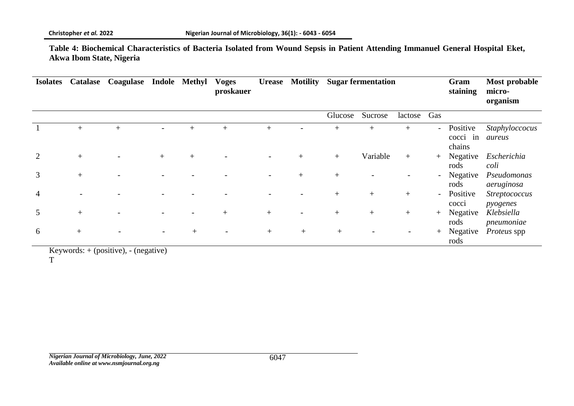**Table 4: Biochemical Characteristics of Bacteria Isolated from Wound Sepsis in Patient Attending Immanuel General Hospital Eket, Akwa Ibom State, Nigeria**

| <b>Isolates</b> | <b>Catalase</b> | Coagulase |     | Indole Methyl | <b>Voges</b><br>proskauer |     | <b>Urease</b> Motility | <b>Sugar fermentation</b> |          | Gram<br>staining | Most probable<br>micro-<br>organism |                                |                           |
|-----------------|-----------------|-----------|-----|---------------|---------------------------|-----|------------------------|---------------------------|----------|------------------|-------------------------------------|--------------------------------|---------------------------|
|                 |                 |           |     |               |                           |     |                        | Glucose                   | Sucrose  | lactose          | Gas                                 |                                |                           |
|                 | $+$             | $+$       |     | $+$           | $^{+}$                    | $+$ |                        | $^{+}$                    | $+$      | $+$              | $\overline{\phantom{0}}$            | Positive<br>cocci in<br>chains | Staphyloccocus<br>aureus  |
| $\overline{2}$  | $+$             |           | $+$ | $+$           |                           |     | $+$                    | $+$                       | Variable | $+$              | $+$                                 | Negative<br>rods               | Escherichia<br>coli       |
| 3               | $+$             |           |     |               |                           |     | $+$                    | $+$                       |          |                  | $\overline{\phantom{a}}$            | Negative<br>rods               | Pseudomonas<br>aeruginosa |
| 4               |                 |           |     |               |                           |     |                        | $^{+}$                    | $+$      | $+$              | $\overline{\phantom{a}}$            | Positive<br>cocci              | Streptococcus<br>pyogenes |
| 5               | $+$             |           |     |               | $+$                       | $+$ |                        | $^{+}$                    | $+$      | $^{+}$           | $+$                                 | Negative<br>rods               | Klebsiella<br>pneumoniae  |
| 6               | $+$             |           |     | $^{+}$        |                           | $+$ | $+$                    | $+$                       |          |                  | $+$                                 | Negative<br>rods               | <i>Proteus</i> spp        |

Keywords: + (positive), - (negative)

T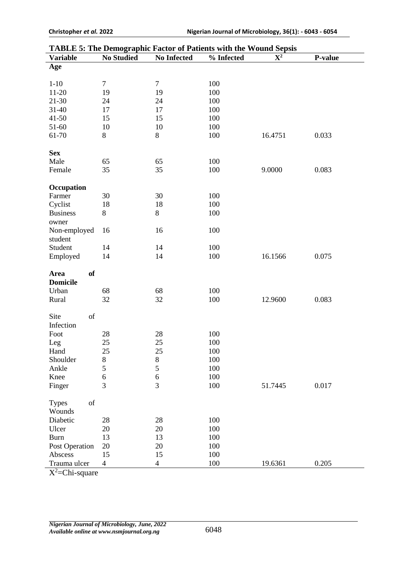| <b>TABLE 5: The Demographic Factor of Patients with the Wound Sepsis</b> |                          |                          |            |             |         |  |  |
|--------------------------------------------------------------------------|--------------------------|--------------------------|------------|-------------|---------|--|--|
| <b>Variable</b>                                                          | <b>No Studied</b>        | <b>No Infected</b>       | % Infected | ${\bf X}^2$ | P-value |  |  |
| Age                                                                      |                          |                          |            |             |         |  |  |
| $1 - 10$                                                                 | $\boldsymbol{7}$         | $\boldsymbol{7}$         | 100        |             |         |  |  |
| $11-20$                                                                  | 19                       | 19                       | 100        |             |         |  |  |
| $21 - 30$                                                                | 24                       | 24                       | 100        |             |         |  |  |
| 31-40                                                                    | 17                       | 17                       | 100        |             |         |  |  |
| $41 - 50$                                                                | 15                       | 15                       | 100        |             |         |  |  |
| 51-60                                                                    | 10                       | 10                       | 100        |             |         |  |  |
| 61-70                                                                    | 8                        | $8\,$                    | 100        | 16.4751     | 0.033   |  |  |
| <b>Sex</b>                                                               |                          |                          |            |             |         |  |  |
| Male                                                                     | 65                       | 65                       | 100        |             |         |  |  |
| Female                                                                   | 35                       | 35                       | 100        | 9.0000      | 0.083   |  |  |
|                                                                          |                          |                          |            |             |         |  |  |
| Occupation                                                               |                          |                          |            |             |         |  |  |
| Farmer                                                                   | 30                       | 30                       | 100        |             |         |  |  |
| Cyclist                                                                  | 18                       | 18                       | 100        |             |         |  |  |
| <b>Business</b>                                                          | $8\,$                    | $8\,$                    | 100        |             |         |  |  |
| owner                                                                    |                          |                          |            |             |         |  |  |
| Non-employed                                                             | 16                       | 16                       | 100        |             |         |  |  |
| student                                                                  |                          |                          |            |             |         |  |  |
| Student                                                                  | 14                       | 14                       | 100        |             |         |  |  |
| Employed                                                                 | 14                       | 14                       | 100        | 16.1566     | 0.075   |  |  |
| <b>of</b><br>Area                                                        |                          |                          |            |             |         |  |  |
| <b>Domicile</b>                                                          |                          |                          |            |             |         |  |  |
| Urban                                                                    | 68                       | 68                       | 100        |             |         |  |  |
| Rural                                                                    | 32                       | 32                       | 100        | 12.9600     | 0.083   |  |  |
|                                                                          |                          |                          |            |             |         |  |  |
| of<br>Site                                                               |                          |                          |            |             |         |  |  |
| Infection                                                                |                          |                          |            |             |         |  |  |
| Foot                                                                     | 28                       | 28                       | 100        |             |         |  |  |
| Leg                                                                      | 25                       | 25                       | 100        |             |         |  |  |
| Hand                                                                     | 25                       | 25                       | 100        |             |         |  |  |
| Shoulder                                                                 | $8\,$                    | $\,8$                    | 100        |             |         |  |  |
| Ankle                                                                    | 5                        | 5                        | 100        |             |         |  |  |
| Knee                                                                     | 6                        | $\boldsymbol{6}$         | 100        |             |         |  |  |
| Finger                                                                   | 3                        | 3                        | 100        | 51.7445     | 0.017   |  |  |
| of<br><b>Types</b>                                                       |                          |                          |            |             |         |  |  |
| Wounds                                                                   |                          |                          |            |             |         |  |  |
| Diabetic                                                                 | 28                       | 28                       | 100        |             |         |  |  |
| Ulcer                                                                    | 20                       | 20                       | 100        |             |         |  |  |
| Burn                                                                     | 13                       | 13                       | 100        |             |         |  |  |
| Post Operation                                                           | 20                       | 20                       | 100        |             |         |  |  |
| Abscess                                                                  | 15                       | 15                       | 100        |             |         |  |  |
| Trauma ulcer                                                             | $\overline{\mathcal{A}}$ | $\overline{\mathcal{A}}$ | 100        | 19.6361     | 0.205   |  |  |

 $X^2$ =Chi-square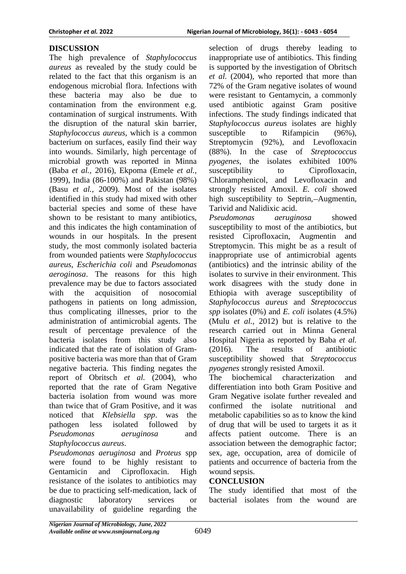# **DISCUSSION**

The high prevalence of *Staphylococcus aureus* as revealed by the study could be related to the fact that this organism is an endogenous microbial flora. Infections with these bacteria may also be due to contamination from the environment e.g. contamination of surgical instruments. With the disruption of the natural skin barrier, *Staphylococcus aureus*, which is a common bacterium on surfaces, easily find their way into wounds. Similarly, high percentage of microbial growth was reported in Minna (Baba *et al.,* 2016), Ekpoma (Emele *et al.,*  1999), India (86-100%) and Pakistan (98%) (Basu *et al.,* 2009). Most of the isolates identified in this study had mixed with other bacterial species and some of these have shown to be resistant to many antibiotics, and this indicates the high contamination of wounds in our hospitals. In the present study, the most commonly isolated bacteria from wounded patients were *Staphylococcus aureus*, *Escherichia coli* and *Pseudomonas aeroginosa*. The reasons for this high prevalence may be due to factors associated with the acquisition of nosocomial pathogens in patients on long admission, thus complicating illnesses, prior to the administration of antimicrobial agents. The result of percentage prevalence of the bacteria isolates from this study also indicated that the rate of isolation of Grampositive bacteria was more than that of Gram negative bacteria. This finding negates the report of Obritsch *et al.* (2004), who reported that the rate of Gram Negative bacteria isolation from wound was more than twice that of Gram Positive, and it was noticed that *Klebsiella spp*. was the pathogen less isolated followed by *Pseudomonas aeruginosa* and *Staphylococcus aureus*.

*Pseudomonas aeruginosa* and *Proteus* spp were found to be highly resistant to Gentamicin and Ciprofloxacin. High resistance of the isolates to antibiotics may be due to practicing self-medication, lack of diagnostic laboratory services or unavailability of guideline regarding the

selection of drugs thereby leading to inappropriate use of antibiotics. This finding is supported by the investigation of Obritsch *et al.* (2004), who reported that more than 72% of the Gram negative isolates of wound were resistant to Gentamycin, a commonly used antibiotic against Gram positive infections. The study findings indicated that *Staphylococcus aureus* isolates are highly susceptible to Rifampicin (96%), Streptomycin (92%), and Levofloxacin (88%). In the case of *Streptococcus pyogenes*, the isolates exhibited 100% susceptibility to Ciprofloxacin, Chloramphenicol, and Levofloxacin and strongly resisted Amoxil. *E. coli* showed high susceptibility to Septrin,—Augmentin, Tarivid and Nalidixic acid.

*Pseudomonas aeruginosa* showed susceptibility to most of the antibiotics, but resisted Ciprofloxacin, Augmentin and Streptomycin. This might be as a result of inappropriate use of antimicrobial agents (antibiotics) and the intrinsic ability of the isolates to survive in their environment. This work disagrees with the study done in Ethiopia with average susceptibility of *Staphylococcus aureus* and *Streptococcus spp* isolates (0%) and *E. coli* isolates (4.5%) (Mulu *et al.,* 2012) but is relative to the research carried out in Minna General Hospital Nigeria as reported by Baba *et al.*  (2016). The results of antibiotic susceptibility showed that *Streptococcus pyogenes* strongly resisted Amoxil.

The biochemical characterization and differentiation into both Gram Positive and Gram Negative isolate further revealed and confirmed the isolate nutritional and metabolic capabilities so as to know the kind of drug that will be used to targets it as it affects patient outcome. There is an association between the demographic factor; sex, age, occupation, area of domicile of patients and occurrence of bacteria from the wound sepsis.

# **CONCLUSION**

The study identified that most of the bacterial isolates from the wound are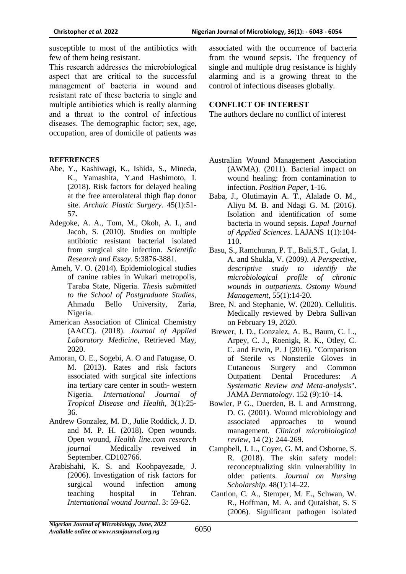susceptible to most of the antibiotics with few of them being resistant.

This research addresses the microbiological aspect that are critical to the successful management of bacteria in wound and resistant rate of these bacteria to single and multiple antibiotics which is really alarming and a threat to the control of infectious diseases. The demographic factor; sex, age, occupation, area of domicile of patients was

### **REFERENCES**

- Abe, Y., Kashiwagi, K., Ishida, S., Mineda, K., Yamashita, Y.and Hashimoto, I. (2018). Risk factors for delayed healing at the free anterolateral thigh flap donor site. *Archaic Plastic Surgery.* 45(1):51- 57**.**
- Adegoke, A. A., Tom, M., Okoh, A. I., and Jacob, S. (2010). Studies on multiple antibiotic resistant bacterial isolated from surgical site infection. *Scientific Research and Essay*. 5:3876-3881.
- Ameh, V. O. (2014). Epidemiological studies of canine rabies in Wukari metropolis, Taraba State, Nigeria. *Thesis submitted to the School of Postgraduate Studies*, Ahmadu Bello University, Zaria, Nigeria.
- American Association of Clinical Chemistry (AACC). (2018). *Journal of Applied Laboratory Medicine*, Retrieved May, 2020.
- Amoran, O. E., Sogebi, A. O and Fatugase, O. M. (2013). Rates and risk factors associated with surgical site infections ina tertiary care center in south- western Nigeria. *International Journal of Tropical Disease and Health*, 3(1):25- 36.
- Andrew Gonzalez, M. D., Julie Roddick, J. D. and M. P. H. (2018). Open wounds. Open wound, *Health line.com research journal* Medically reveiwed in September. CD102766.
- Arabishahi, K. S. and Koohpayezade, J. (2006). Investigation of risk factors for surgical wound infection among teaching hospital in Tehran. *International wound Journal*. 3: 59-62.

associated with the occurrence of bacteria from the wound sepsis. The frequency of single and multiple drug resistance is highly alarming and is a growing threat to the control of infectious diseases globally.

## **CONFLICT OF INTEREST**

The authors declare no conflict of interest

- Australian Wound Management Association (AWMA). (2011). Bacterial impact on wound healing: from contamination to infection. *Position Paper*, 1-16.
- Baba, J., Olutimayin A. T., Alalade O. M., Aliyu M. B. and Ndagi G. M. (2016). Isolation and identification of some bacteria in wound sepsis. *Lapal Journal of Applied Sciences*. LAJANS 1(1):104- 110.
- Basu, S., Ramchuran, P. T., Bali,S.T., Gulat, I. A. and Shukla, V. (2009*). A Perspective, descriptive study to identify the microbiological profile of chronic wounds in outpatients. Ostomy Wound Management*, 55(1):14-20.
- Bree, N. and Stephanie, W. (2020). Cellulitis. Medically reviewed by Debra Sullivan on February 19, 2020.
- Brewer, J. D., Gonzalez, A. B., Baum, C. L., Arpey, C. J., Roenigk, R. K., Otley, C. C. and Erwin, P. J (2016). "Comparison of Sterile vs Nonsterile Gloves in Cutaneous Surgery and Common Outpatient Dental Procedures: *A Systematic Review and Meta-analysis*". JAMA *Dermatology*. 152 (9):10–14.
- Bowler, P G., Duerden, B. I. and Armstrong, D. G. (2001). Wound microbiology and associated approaches to wound management*. Clinical microbiological review*, 14 (2): 244-269.
- Campbell, J. L., Coyer, G. M. and Osborne, S. R. (2018). The skin safety model: reconceptualizing skin vulnerability in older patients*. Journal on Nursing Scholarship*. 48(1):14–22.
- Cantlon, C. A., Stemper, M. E., Schwan, W. R., Hoffman, M. A. and Qutaishat, S. S (2006). Significant pathogen isolated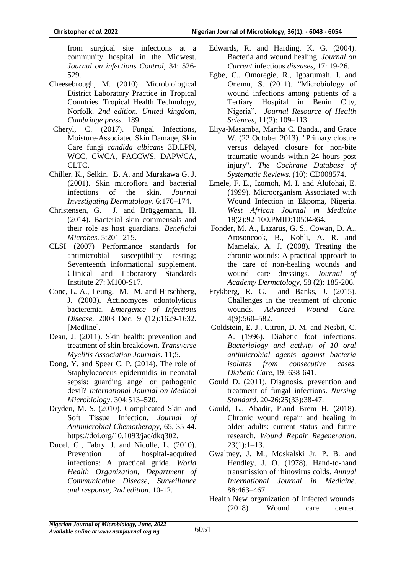from surgical site infections at a community hospital in the Midwest. *Journal on infections Control*, 34: 526- 529.

- Cheesebrough, M. (2010). Microbiological District Laboratory Practice in Tropical Countries. Tropical Health Technology, Norfolk*. 2nd edition. United kingdom, Cambridge press*. 189.
- Cheryl, C. (2017). Fungal Infections, Moisture-Associated Skin Damage, Skin Care fungi *candida albicans* 3D.LPN, WCC, CWCA, FACCWS, DAPWCA, CLTC.
- Chiller, K., Selkin, B. A. and Murakawa G. J. (2001). Skin microflora and bacterial infections of the skin. *Journal Investigating Dermatology*. 6:170–174.
- Christensen, G. J. and Brüggemann, H. (2014). Bacterial skin commensals and their role as host guardians. *Beneficial Microbes*. 5:201–215.
- CLSI (2007) Performance standards for antimicrobial susceptibility testing; Seventeenth informational supplement. Clinical and Laboratory Standards Institute 27: M100-S17.
- Cone, L. A., Leung, M. M. and Hirschberg, J. (2003). Actinomyces odontolyticus bacteremia. *Emergence of Infectious Disease.* 2003 Dec. 9 (12):1629-1632. [Medline].
- Dean, J. (2011). Skin health: prevention and treatment of skin breakdown. *Transverse Myelitis Association Journals*. 11;5.
- Dong, Y. and Speer C. P. (2014). The role of Staphylococcus epidermidis in neonatal sepsis: guarding angel or pathogenic devil? *International Journal on Medical Microbiology*. 304:513–520.
- Dryden, M. S. (2010). Complicated Skin and Soft Tissue Infection*. Journal of Antimicrobial Chemotherapy*, 65, 35-44. https://doi.org/10.1093/jac/dkq302.
- Ducel, G., Fabry, J. and Nicolle, L. (2010). Prevention of hospital-acquired infections: A practical guide. *World Health Organization, Department of Communicable Disease, Surveillance and response, 2nd edition*. 10-12.
- Edwards, R. and Harding, K. G. (2004). Bacteria and wound healing. *Journal on Current* infectious *diseases*, 17: 19-26.
- Egbe, C., Omoregie, R., Igbarumah, I. and Onemu, S. (2011). "Microbiology of wound infections among patients of a Tertiary Hospital in Benin City, Nigeria". *Journal Resource of Health Sciences*, 11(2): 109–113.
- Eliya-Masamba, Martha C. Banda., and Grace W. (22 October 2013). "Primary closure versus delayed closure for non-bite traumatic wounds within 24 hours post injury". *The Cochrane Database of Systematic Reviews*. (10): CD008574.
- Emele, F. E., Izomoh, M. I. and Alufohai, E. (1999). Microorganism Associated with Wound Infection in Ekpoma, Nigeria. *West African Journal in Medicine* 18(2):92-100.PMID:10504864.
- Fonder, M. A., Lazarus, G. S., Cowan, D. A., Arosoncook, B., Kohli, A. R. and Mamelak, A. J. (2008). Treating the chronic wounds: A practical approach to the care of non-healing wounds and wound care dressings. *Journal of Academy Dermatology*, 58 (2): 185-206.
- Frykberg, R. G. and Banks, J. (2015). Challenges in the treatment of chronic wounds. *Advanced Wound Care.* 4(9):560–582.
- Goldstein, E. J., Citron, D. M. and Nesbit, C. A. (1996). Diabetic foot infections. *Bacteriology and activity of 10 oral antimicrobial agents against bacteria isolates from consecutive cases. Diabetic Care*, 19: 638-641.
- Gould D. (2011). Diagnosis, prevention and treatment of fungal infections. *Nursing Standard*. 20-26;25(33):38-47.
- Gould, L., Abadir, P.and Brem H. (2018). Chronic wound repair and healing in older adults: current status and future research. *Wound Repair Regeneration*.  $23(1):1-13.$
- Gwaltney, J. M., Moskalski Jr, P. B. and Hendley, J. O. (1978). Hand-to-hand transmission of rhinovirus colds. *Annual International Journal in Medicine*. 88:463–467.
- Health New organization of infected wounds. (2018). Wound care center.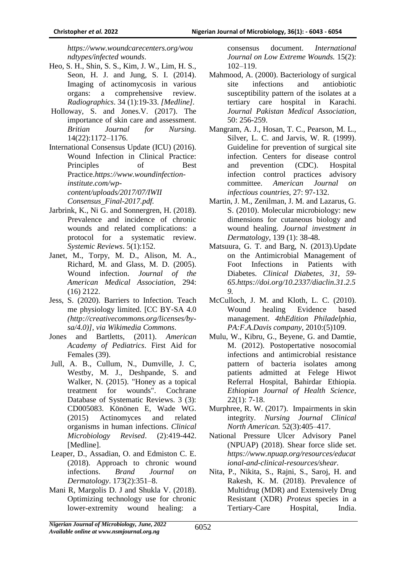*https://www.woundcarecenters.org/wou ndtypes/infected wounds*.

- Heo, S. H., Shin, S. S., Kim, J. W., Lim, H. S., Seon, H. J. and Jung, S. I. (2014). Imaging of actinomycosis in various organs: a comprehensive review. *Radiographics*. 34 (1):19-33. *[Medline].*
- Holloway, S. and Jones.V. (2017). The importance of skin care and assessment*. Britian Journal for Nursing.*  14(22):1172–1176.
- International Consensus Update (ICU) (2016). Wound Infection in Clinical Practice: Principles of Best Practice.*https://www.woundinfectioninstitute.com/wpcontent/uploads/2017/07/IWII Consensus\_Final-2017.pdf.*
- Jarbrink, K., Ni G. and Sonnergren, H. (2018). Prevalence and incidence of chronic wounds and related complications: a protocol for a systematic review*. Systemic Reviews*. 5(1):152.
- Janet, M., Torpy, M. D., Alison, M. A., Richard, M. and Glass, M. D. (2005). Wound infection. *Journal of the American Medical Association*, 294: (16) 2122.
- Jess, S. (2020). Barriers to Infection. Teach me physiology limited. [CC BY-SA 4.0 *(http://creativecommons.org/licenses/bysa/4.0)], via Wikimedia Commons*.
- Jones and Bartletts, (2011). *American Academy of Pediatrics*. First Aid for Females (39).
- Jull, A. B., Cullum, N., Dumville, J. C, Westby, M. J., Deshpande, S. and Walker, N. (2015). "Honey as a topical treatment for wounds". Cochrane Database of Systematic Reviews. 3 (3): CD005083. Könönen E, Wade WG. (2015) Actinomyces and related organisms in human infections. *Clinical Microbiology Revised*. (2):419-442. [Medline].
- Leaper, D., Assadian, O. and Edmiston C. E. (2018). Approach to chronic wound infections. *Brand Journal on Dermatology*. 173(2):351–8.
- Mani R, Margolis D. J and Shukla V. (2018). Optimizing technology use for chronic lower-extremity wound healing: a

consensus document. *International Journal on Low Extreme Wounds.* 15(2): 102–119.

- Mahmood, A. (2000). Bacteriology of surgical site infections and antiobiotic susceptibility pattern of the isolates at a tertiary care hospital in Karachi. *Journal Pakistan Medical Association,* 50: 256-259.
- Mangram, A. J., Hosan, T. C., Pearson, M. L., Silver, L. C. and Jarvis, W. R. (1999). Guideline for prevention of surgical site infection. Centers for disease control and prevention (CDC). Hospital infection control practices advisory committee. *American Journal on infectious countries,* 27: 97-132.
- Martin, J. M., Zenilman, J. M. and Lazarus, G. S. (2010). Molecular microbiology: new dimensions for cutaneous biology and wound healing. *Journal investment in Dermatology*, 139 (1): 38-48.
- Matsuura, G. T. and Barg, N. (2013).Update on the Antimicrobial Management of Foot Infections in Patients with Diabetes. *Clinical Diabetes, 31, 59- 65.https://doi.org/10.2337/diaclin.31.2.5 9.*
- McCulloch, J. M. and Kloth, L. C. (2010). Wound healing Evidence based management. *4thEdition Philadelphia, PA:F.A.Davis company*, 2010:(5)109.
- Mulu, W., Kibru, G., Beyene, G. and Damtie, M. (2012). Postopertative nosocomial infections and antimicrobial resistance pattern of bacteria isolates among patients admitted at Felege Hiwot Referral Hospital, Bahirdar Ethiopia. *Ethiopian Journal of Health Science,* 22(1): 7-18.
- Murphree, R. W. (2017). Impairments in skin integrity. *Nursing Journal Clinical North American.* 52(3):405–417.
- National Pressure Ulcer Advisory Panel (NPUAP) (2018). Shear force slide set. *https://www.npuap.org/resources/educat ional-and-clinical-resources/shear.*
- Nita, P., Nikita, S., Rajni, S., Saroj, H. and Rakesh, K. M. (2018). Prevalence of Multidrug (MDR) and Extensively Drug Resistant (XDR) *Proteus* species in a Tertiary-Care Hospital, India.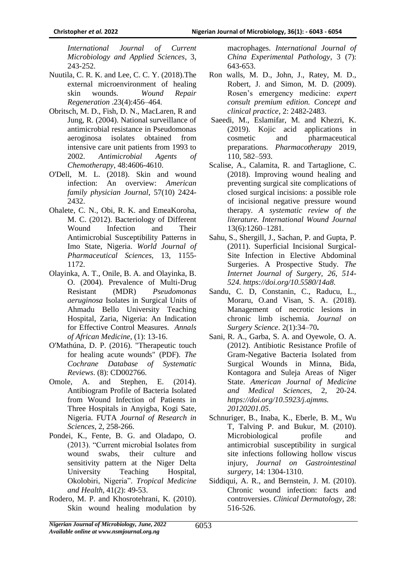*International Journal of Current Microbiology and Applied Sciences*, 3, 243-252.

- Nuutila, C. R. K. and Lee, C. C. Y. (2018).The external microenvironment of healing skin wounds. *Wound Repair Regeneration* .23(4):456–464.
- Obritsch, M. D., Fish, D. N., MacLaren, R and Jung, R. (2004). National surveillance of antimicrobial resistance in Pseudomonas aeroginosa isolates obtained from intensive care unit patients from 1993 to 2002. *Antimicrobial Agents of Chemotherapy*, 48:4606-4610.
- O'Dell, M. L. (2018). Skin and wound infection: An overview: *American family physician Journal*, 57(10) 2424- 2432.
- Ohalete, C. N., Obi, R. K. and EmeaKoroha, M. C. (2012). Bacteriology of Different Wound Infection and Their Antimicrobial Susceptibility Patterns in Imo State, Nigeria. *World Journal of Pharmaceutical Sciences,* 13, 1155- 1172.
- Olayinka, A. T., Onile, B. A. and Olayinka, B. O. (2004). Prevalence of Multi-Drug Resistant (MDR) *Pseudomonas aeruginosa* Isolates in Surgical Units of Ahmadu Bello University Teaching Hospital, Zaria, Nigeria: An Indication for Effective Control Measures. *Annals of African Medicine*, (1): 13-16.
- O'Mathúna, D. P. (2016). "Therapeutic touch for healing acute wounds" (PDF). *The Cochrane Database of Systematic Reviews*. (8): CD002766.
- Omole, A. and Stephen, E. (2014). Antibiogram Profile of Bacteria Isolated from Wound Infection of Patients in Three Hospitals in Anyigba, Kogi Sate, Nigeria. FUTA *Journal of Research in Sciences,* 2, 258-266.
- Pondei, K., Fente, B. G. and Oladapo, O. (2013). "Current microbial Isolates from wound swabs, their culture and sensitivity pattern at the Niger Delta University Teaching Hospital, Okolobiri, Nigeria". *Tropical Medicine and Health*, 41(2): 49-53.
- Rodero, M. P. and Khosrotehrani, K. (2010). Skin wound healing modulation by

macrophages. *International Journal of China Experimental Pathology*, 3 (7): 643-653.

- Ron walls, M. D., John, J., Ratey, M. D., Robert, J. and Simon, M. D. (2009). Rosen's emergency medicine: *expert consult premium edition. Concept and clinical practice*, 2: 2482-2483.
- Saeedi, M., Eslamifar, M. and Khezri, K. (2019). Kojic acid applications in cosmetic and pharmaceutical preparations*. Pharmacotherapy* 2019, 110, 582–593.
- Scalise, A., Calamita, R. and Tartaglione, C. (2018). Improving wound healing and preventing surgical site complications of closed surgical incisions: a possible role of incisional negative pressure wound therapy. *A systematic review of the literature. International Wound Journal* 13(6):1260–1281.
- Sahu, S., Shergill, J., Sachan, P. and Gupta, P. (2011). Superficial Incisional Surgical-Site Infection in Elective Abdominal Surgeries. A Prospective Study. *The Internet Journal of Surgery, 26, 514- 524. https://doi.org/10.5580/14a8.*
- Sandu, C. D, Constanin, C., Raducu, L., Moraru, O.and Visan, S. A. (2018). Management of necrotic lesions in chronic limb ischemia. *Journal on Surgery Science*. 2(1):34–70**.**
- Sani, R. A., Garba, S. A. and Oyewole, O. A. (2012). Antibiotic Resistance Profile of Gram-Negative Bacteria Isolated from Surgical Wounds in Minna, Bida, Kontagora and Suleja Areas of Niger State. *American Journal of Medicine and Medical Sciences*, 2, 20-24. *https://doi.org/10.5923/j.ajmms. 20120201.05*.
- Schnuriger, B., Inaba, K., Eberle, B. M., Wu T, Talving P. and Bukur, M. (2010). Microbiological profile and antimicrobial susceptibility in surgical site infections following hollow viscus injury, *Journal on Gastrointestinal surgery*, 14: 1304-1310.
- Siddiqui, A. R., and Bernstein, J. M. (2010). Chronic wound infection: facts and controversies. *Clinical Dermatology*, 28: 516-526.